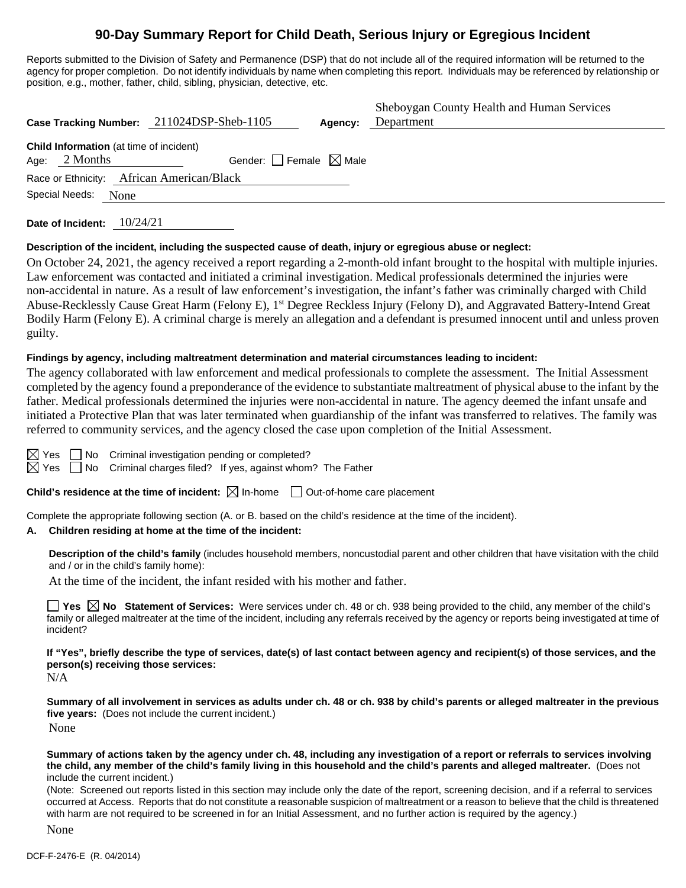# **90-Day Summary Report for Child Death, Serious Injury or Egregious Incident**

Reports submitted to the Division of Safety and Permanence (DSP) that do not include all of the required information will be returned to the agency for proper completion. Do not identify individuals by name when completing this report. Individuals may be referenced by relationship or position, e.g., mother, father, child, sibling, physician, detective, etc.

|                                                                     | Case Tracking Number: 211024DSP-Sheb-1105 | Agency: | Sheboygan County Health and Human Services<br>Department |
|---------------------------------------------------------------------|-------------------------------------------|---------|----------------------------------------------------------|
| <b>Child Information</b> (at time of incident)<br>Age: $2$ Months   | Gender: Female $\boxtimes$ Male           |         |                                                          |
| Race or Ethnicity: African American/Black<br>Special Needs:<br>None |                                           |         |                                                          |
|                                                                     |                                           |         |                                                          |

**Date of Incident:** 10/24/21

#### **Description of the incident, including the suspected cause of death, injury or egregious abuse or neglect:**

On October 24, 2021, the agency received a report regarding a 2-month-old infant brought to the hospital with multiple injuries. Law enforcement was contacted and initiated a criminal investigation. Medical professionals determined the injuries were non-accidental in nature. As a result of law enforcement's investigation, the infant's father was criminally charged with Child Abuse-Recklessly Cause Great Harm (Felony E), 1st Degree Reckless Injury (Felony D), and Aggravated Battery-Intend Great Bodily Harm (Felony E). A criminal charge is merely an allegation and a defendant is presumed innocent until and unless proven guilty.

#### **Findings by agency, including maltreatment determination and material circumstances leading to incident:**

The agency collaborated with law enforcement and medical professionals to complete the assessment. The Initial Assessment completed by the agency found a preponderance of the evidence to substantiate maltreatment of physical abuse to the infant by the father. Medical professionals determined the injuries were non-accidental in nature. The agency deemed the infant unsafe and initiated a Protective Plan that was later terminated when guardianship of the infant was transferred to relatives. The family was referred to community services, and the agency closed the case upon completion of the Initial Assessment.



 $\boxtimes$  Yes  $\Box$  No Criminal investigation pending or completed?

 $\boxtimes$  Yes  $\Box$  No Criminal charges filed? If yes, against whom? The Father

**Child's residence at the time of incident:**  $\boxtimes$  In-home  $\Box$  Out-of-home care placement

Complete the appropriate following section (A. or B. based on the child's residence at the time of the incident).

#### **A. Children residing at home at the time of the incident:**

**Description of the child's family** (includes household members, noncustodial parent and other children that have visitation with the child and / or in the child's family home):

At the time of the incident, the infant resided with his mother and father.

**Yes**  $\boxtimes$  **No** Statement of Services: Were services under ch. 48 or ch. 938 being provided to the child, any member of the child's family or alleged maltreater at the time of the incident, including any referrals received by the agency or reports being investigated at time of incident?

**If "Yes", briefly describe the type of services, date(s) of last contact between agency and recipient(s) of those services, and the person(s) receiving those services:**

N/A

**Summary of all involvement in services as adults under ch. 48 or ch. 938 by child's parents or alleged maltreater in the previous five years:** (Does not include the current incident.) None

**Summary of actions taken by the agency under ch. 48, including any investigation of a report or referrals to services involving the child, any member of the child's family living in this household and the child's parents and alleged maltreater.** (Does not include the current incident.)

(Note: Screened out reports listed in this section may include only the date of the report, screening decision, and if a referral to services occurred at Access. Reports that do not constitute a reasonable suspicion of maltreatment or a reason to believe that the child is threatened with harm are not required to be screened in for an Initial Assessment, and no further action is required by the agency.)

None